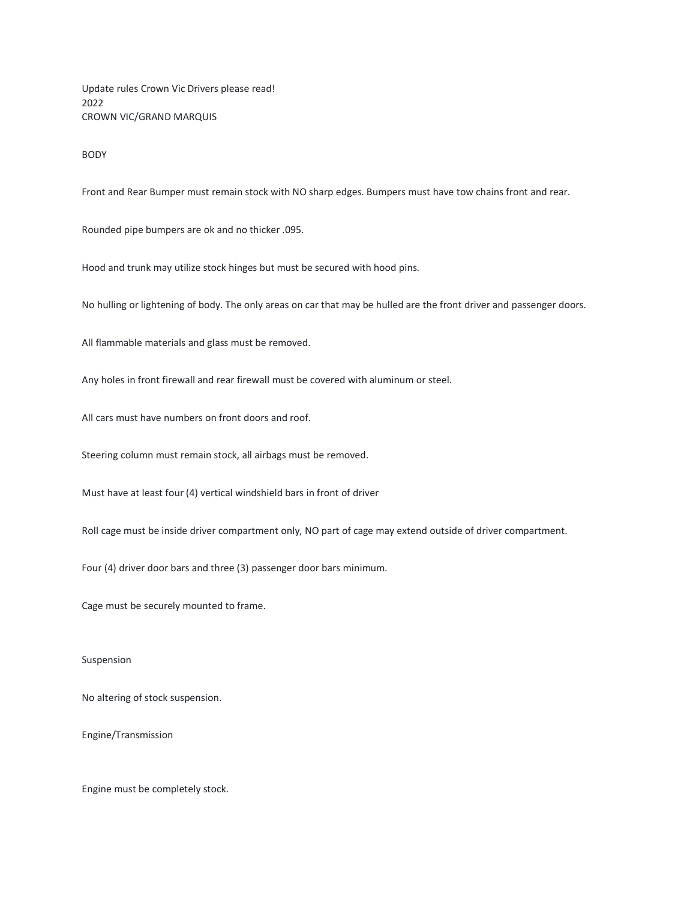Update rules Crown Vic Drivers please read! 2022 CROWN VIC/GRAND MARQUIS

BODY

Front and Rear Bumper must remain stock with NO sharp edges. Bumpers must have tow chains front and rear.

Rounded pipe bumpers are ok and no thicker .095.

Hood and trunk may utilize stock hinges but must be secured with hood pins.

No hulling or lightening of body. The only areas on car that may be hulled are the front driver and passenger doors.

All flammable materials and glass must be removed.

Any holes in front firewall and rear firewall must be covered with aluminum or steel.

All cars must have numbers on front doors and roof.

Steering column must remain stock, all airbags must be removed.

Must have at least four (4) vertical windshield bars in front of driver

Roll cage must be inside driver compartment only, NO part of cage may extend outside of driver compartment.

Four (4) driver door bars and three (3) passenger door bars minimum.

Cage must be securely mounted to frame.

Suspension

No altering of stock suspension.

Engine/Transmission

Engine must be completely stock.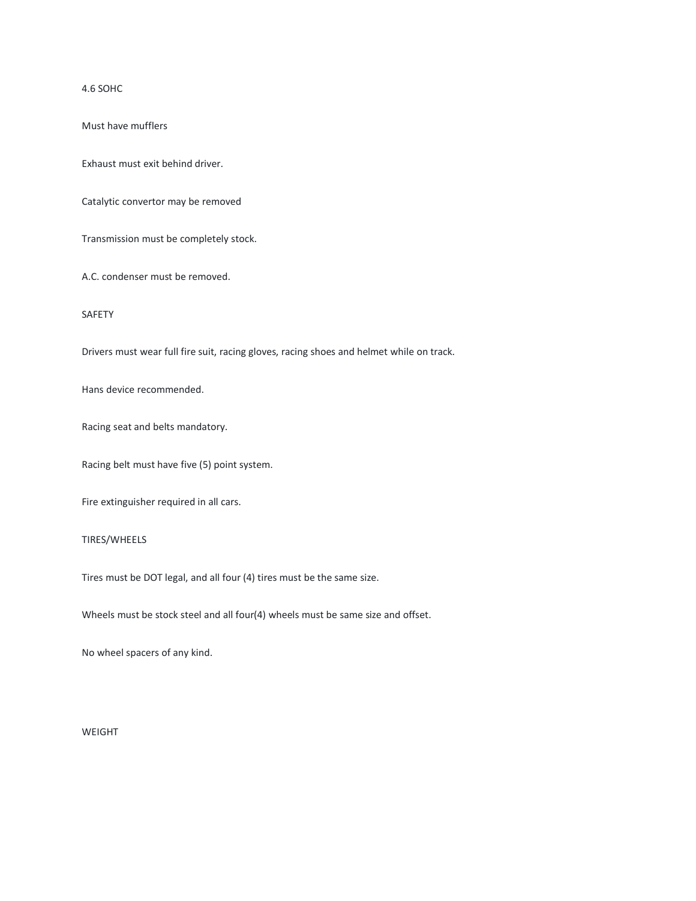4.6 SOHC

Must have mufflers

Exhaust must exit behind driver.

Catalytic convertor may be removed

Transmission must be completely stock.

A.C. condenser must be removed.

SAFETY

Drivers must wear full fire suit, racing gloves, racing shoes and helmet while on track.

Hans device recommended.

Racing seat and belts mandatory.

Racing belt must have five (5) point system.

Fire extinguisher required in all cars.

## TIRES/WHEELS

Tires must be DOT legal, and all four (4) tires must be the same size.

Wheels must be stock steel and all four(4) wheels must be same size and offset.

No wheel spacers of any kind.

WEIGHT